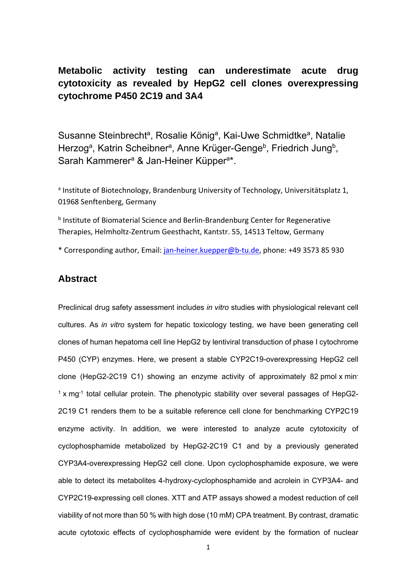

Zentrum für Material- und Küstenforschung

# *Final Draft*  **of the original manuscript:**

Steinbrecht, S.; Koenig, R.; Schmidtke, K.-U.; Herzog, N.; Scheibner, K.; Krueger-Genge, A.; Jung, F.; Kammerer, S.; Kuepper, J.-H.: **Metabolic activity testing can underestimate acute drug cytotoxicity as revealed by HepG2 cell clones overexpressing cytochrome P450 2C19 and 3A4.**  In: Toxicology. Vol. 412 (2019) 37 - 47. First published online by Elsevier: November 27, 2018

[DOI: /10.1016/j.tox.2018.11.008](https://dx.doi.org/10.1016/j.tox.2018.11.008)  https://dx.doi.org/10.1016/j.tox.2018.11.008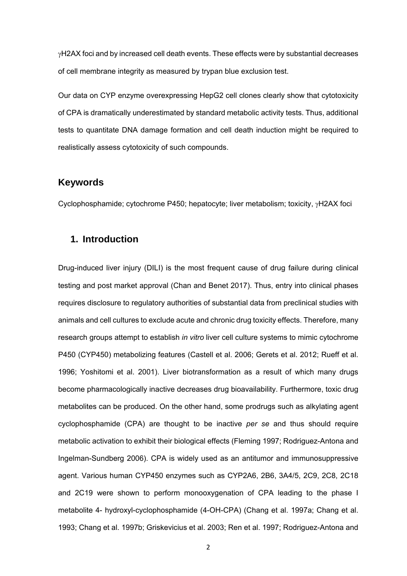# **Metabolic activity testing can underestimate acute drug cytotoxicity as revealed by HepG2 cell clones overexpressing cytochrome P450 2C19 and 3A4**

Susanne Steinbrecht<sup>a</sup>, Rosalie König<sup>a</sup>, Kai-Uwe Schmidtke<sup>a</sup>, Natalie Herzog<sup>a</sup>, Katrin Scheibner<sup>a</sup>, Anne Krüger-Genge<sup>b</sup>, Friedrich Jung<sup>b</sup>, Sarah Kammerer<sup>a</sup> & Jan-Heiner Küpper<sup>a\*</sup>.

<sup>a</sup> Institute of Biotechnology, Brandenburg University of Technology, Universitätsplatz 1, 01968 Senftenberg, Germany

b Institute of Biomaterial Science and Berlin-Brandenburg Center for Regenerative Therapies, Helmholtz‐Zentrum Geesthacht, Kantstr. 55, 14513 Teltow, Germany

\* Corresponding author, Email: jan‐heiner.kuepper@b‐tu.de, phone: +49 3573 85 930

## **Abstract**

Preclinical drug safety assessment includes *in vitro* studies with physiological relevant cell cultures. As *in vitro* system for hepatic toxicology testing, we have been generating cell clones of human hepatoma cell line HepG2 by lentiviral transduction of phase I cytochrome P450 (CYP) enzymes. Here, we present a stable CYP2C19-overexpressing HepG2 cell clone (HepG2-2C19 C1) showing an enzyme activity of approximately 82 pmol x min- $1 \times$  mg $^{-1}$  total cellular protein. The phenotypic stability over several passages of HepG2-2C19 C1 renders them to be a suitable reference cell clone for benchmarking CYP2C19 enzyme activity. In addition, we were interested to analyze acute cytotoxicity of cyclophosphamide metabolized by HepG2-2C19 C1 and by a previously generated CYP3A4-overexpressing HepG2 cell clone. Upon cyclophosphamide exposure, we were able to detect its metabolites 4-hydroxy-cyclophosphamide and acrolein in CYP3A4- and CYP2C19-expressing cell clones. XTT and ATP assays showed a modest reduction of cell viability of not more than 50 % with high dose (10 mM) CPA treatment. By contrast, dramatic acute cytotoxic effects of cyclophosphamide were evident by the formation of nuclear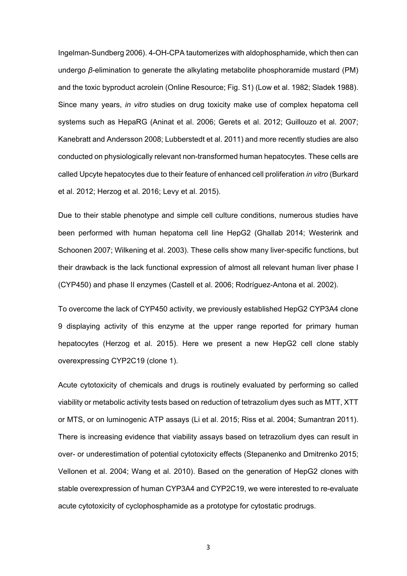H2AX foci and by increased cell death events. These effects were by substantial decreases of cell membrane integrity as measured by trypan blue exclusion test.

Our data on CYP enzyme overexpressing HepG2 cell clones clearly show that cytotoxicity of CPA is dramatically underestimated by standard metabolic activity tests. Thus, additional tests to quantitate DNA damage formation and cell death induction might be required to realistically assess cytotoxicity of such compounds.

## **Keywords**

Cyclophosphamide; cytochrome P450; hepatocyte; liver metabolism; toxicity,  $\gamma$ H2AX foci

## **1. Introduction**

Drug-induced liver injury (DILI) is the most frequent cause of drug failure during clinical testing and post market approval (Chan and Benet 2017). Thus, entry into clinical phases requires disclosure to regulatory authorities of substantial data from preclinical studies with animals and cell cultures to exclude acute and chronic drug toxicity effects. Therefore, many research groups attempt to establish *in vitro* liver cell culture systems to mimic cytochrome P450 (CYP450) metabolizing features (Castell et al. 2006; Gerets et al. 2012; Rueff et al. 1996; Yoshitomi et al. 2001). Liver biotransformation as a result of which many drugs become pharmacologically inactive decreases drug bioavailability. Furthermore, toxic drug metabolites can be produced. On the other hand, some prodrugs such as alkylating agent cyclophosphamide (CPA) are thought to be inactive *per se* and thus should require metabolic activation to exhibit their biological effects (Fleming 1997; Rodriguez-Antona and Ingelman-Sundberg 2006). CPA is widely used as an antitumor and immunosuppressive agent. Various human CYP450 enzymes such as CYP2A6, 2B6, 3A4/5, 2C9, 2C8, 2C18 and 2C19 were shown to perform monooxygenation of CPA leading to the phase I metabolite 4- hydroxyl-cyclophosphamide (4-OH-CPA) (Chang et al. 1997a; Chang et al. 1993; Chang et al. 1997b; Griskevicius et al. 2003; Ren et al. 1997; Rodriguez-Antona and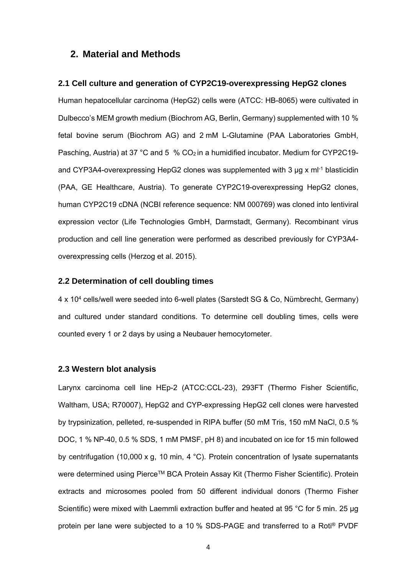Ingelman-Sundberg 2006). 4-OH-CPA tautomerizes with aldophosphamide, which then can undergo *β*-elimination to generate the alkylating metabolite phosphoramide mustard (PM) and the toxic byproduct acrolein (Online Resource; Fig. S1) (Low et al. 1982; Sladek 1988). Since many years, *in vitro* studies on drug toxicity make use of complex hepatoma cell systems such as HepaRG (Aninat et al. 2006; Gerets et al. 2012; Guillouzo et al. 2007; Kanebratt and Andersson 2008; Lubberstedt et al. 2011) and more recently studies are also conducted on physiologically relevant non-transformed human hepatocytes. These cells are called Upcyte hepatocytes due to their feature of enhanced cell proliferation *in vitro* (Burkard et al. 2012; Herzog et al. 2016; Levy et al. 2015).

Due to their stable phenotype and simple cell culture conditions, numerous studies have been performed with human hepatoma cell line HepG2 (Ghallab 2014; Westerink and Schoonen 2007; Wilkening et al. 2003). These cells show many liver-specific functions, but their drawback is the lack functional expression of almost all relevant human liver phase I (CYP450) and phase II enzymes (Castell et al. 2006; Rodríguez-Antona et al. 2002).

To overcome the lack of CYP450 activity, we previously established HepG2 CYP3A4 clone 9 displaying activity of this enzyme at the upper range reported for primary human hepatocytes (Herzog et al. 2015). Here we present a new HepG2 cell clone stably overexpressing CYP2C19 (clone 1).

Acute cytotoxicity of chemicals and drugs is routinely evaluated by performing so called viability or metabolic activity tests based on reduction of tetrazolium dyes such as MTT, XTT or MTS, or on luminogenic ATP assays (Li et al. 2015; Riss et al. 2004; Sumantran 2011). There is increasing evidence that viability assays based on tetrazolium dyes can result in over- or underestimation of potential cytotoxicity effects (Stepanenko and Dmitrenko 2015; Vellonen et al. 2004; Wang et al. 2010). Based on the generation of HepG2 clones with stable overexpression of human CYP3A4 and CYP2C19, we were interested to re-evaluate acute cytotoxicity of cyclophosphamide as a prototype for cytostatic prodrugs.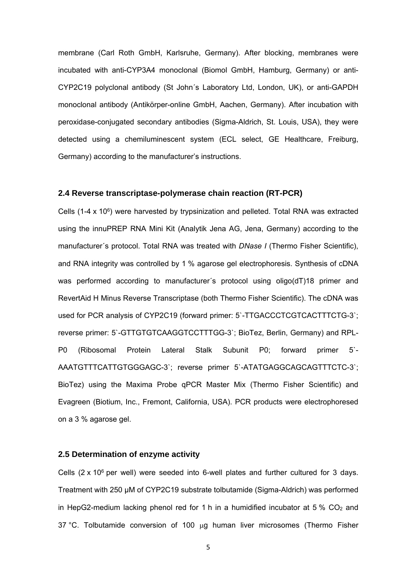### **2. Material and Methods**

#### **2.1 Cell culture and generation of CYP2C19-overexpressing HepG2 clones**

Human hepatocellular carcinoma (HepG2) cells were (ATCC: HB-8065) were cultivated in Dulbecco's MEM growth medium (Biochrom AG, Berlin, Germany) supplemented with 10 % fetal bovine serum (Biochrom AG) and 2 mM L-Glutamine (PAA Laboratories GmbH, Pasching, Austria) at 37 °C and 5  $% CO<sub>2</sub>$  in a humidified incubator. Medium for CYP2C19and CYP3A4-overexpressing HepG2 clones was supplemented with 3  $\mu$ g x ml<sup>-1</sup> blasticidin (PAA, GE Healthcare, Austria). To generate CYP2C19-overexpressing HepG2 clones, human CYP2C19 cDNA (NCBI reference sequence: NM 000769) was cloned into lentiviral expression vector (Life Technologies GmbH, Darmstadt, Germany). Recombinant virus production and cell line generation were performed as described previously for CYP3A4 overexpressing cells (Herzog et al. 2015).

#### **2.2 Determination of cell doubling times**

4 x 104 cells/well were seeded into 6-well plates (Sarstedt SG & Co, Nümbrecht, Germany) and cultured under standard conditions. To determine cell doubling times, cells were counted every 1 or 2 days by using a Neubauer hemocytometer.

#### **2.3 Western blot analysis**

Larynx carcinoma cell line HEp-2 (ATCC:CCL-23), 293FT (Thermo Fisher Scientific, Waltham, USA; R70007), HepG2 and CYP-expressing HepG2 cell clones were harvested by trypsinization, pelleted, re-suspended in RIPA buffer (50 mM Tris, 150 mM NaCl, 0.5 % DOC, 1 % NP-40, 0.5 % SDS, 1 mM PMSF, pH 8) and incubated on ice for 15 min followed by centrifugation (10,000 x g, 10 min, 4 °C). Protein concentration of lysate supernatants were determined using Pierce™ BCA Protein Assay Kit (Thermo Fisher Scientific). Protein extracts and microsomes pooled from 50 different individual donors (Thermo Fisher Scientific) were mixed with Laemmli extraction buffer and heated at 95 °C for 5 min. 25 µg protein per lane were subjected to a 10 % SDS-PAGE and transferred to a Roti® PVDF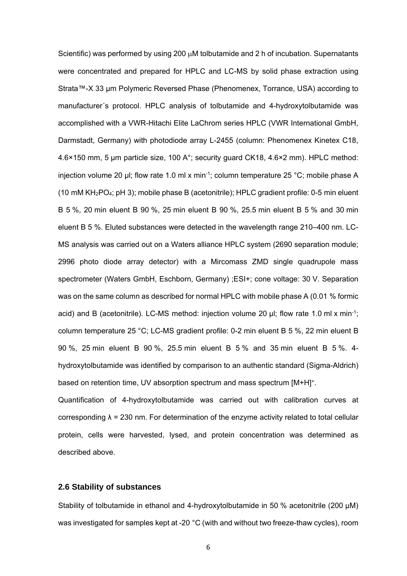membrane (Carl Roth GmbH, Karlsruhe, Germany). After blocking, membranes were incubated with anti-CYP3A4 monoclonal (Biomol GmbH, Hamburg, Germany) or anti-CYP2C19 polyclonal antibody (St John´s Laboratory Ltd, London, UK), or anti-GAPDH monoclonal antibody (Antikörper-online GmbH, Aachen, Germany). After incubation with peroxidase-conjugated secondary antibodies (Sigma-Aldrich, St. Louis, USA), they were detected using a chemiluminescent system (ECL select, GE Healthcare, Freiburg, Germany) according to the manufacturer's instructions.

#### **2.4 Reverse transcriptase-polymerase chain reaction (RT-PCR)**

Cells  $(1-4 \times 10^6)$  were harvested by trypsinization and pelleted. Total RNA was extracted using the innuPREP RNA Mini Kit (Analytik Jena AG, Jena, Germany) according to the manufacturer´s protocol. Total RNA was treated with *DNase I* (Thermo Fisher Scientific), and RNA integrity was controlled by 1 % agarose gel electrophoresis. Synthesis of cDNA was performed according to manufacturer´s protocol using oligo(dT)18 primer and RevertAid H Minus Reverse Transcriptase (both Thermo Fisher Scientific). The cDNA was used for PCR analysis of CYP2C19 (forward primer: 5`-TTGACCCTCGTCACTTTCTG-3`; reverse primer: 5`-GTTGTGTCAAGGTCCTTTGG-3`; BioTez, Berlin, Germany) and RPL-P0 (Ribosomal Protein Lateral Stalk Subunit P0; forward primer 5`- AAATGTTTCATTGTGGGAGC-3`; reverse primer 5`-ATATGAGGCAGCAGTTTCTC-3`; BioTez) using the Maxima Probe qPCR Master Mix (Thermo Fisher Scientific) and Evagreen (Biotium, Inc., Fremont, California, USA). PCR products were electrophoresed on a 3 % agarose gel.

### **2.5 Determination of enzyme activity**

Cells  $(2 \times 10^6$  per well) were seeded into 6-well plates and further cultured for 3 days. Treatment with 250 µM of CYP2C19 substrate tolbutamide (Sigma-Aldrich) was performed in HepG2-medium lacking phenol red for 1 h in a humidified incubator at 5 %  $CO<sub>2</sub>$  and 37 °C. Tolbutamide conversion of 100  $\mu$ g human liver microsomes (Thermo Fisher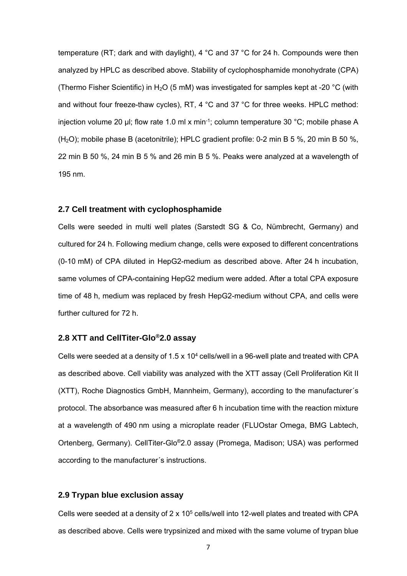Scientific) was performed by using 200  $\mu$ M tolbutamide and 2 h of incubation. Supernatants were concentrated and prepared for HPLC and LC-MS by solid phase extraction using Strata™-X 33 µm Polymeric Reversed Phase (Phenomenex, Torrance, USA) according to manufacturer´s protocol. HPLC analysis of tolbutamide and 4-hydroxytolbutamide was accomplished with a VWR-Hitachi Elite LaChrom series HPLC (VWR International GmbH, Darmstadt, Germany) with photodiode array L-2455 (column: Phenomenex Kinetex C18, 4.6×150 mm, 5 µm particle size, 100 A°; security guard CK18, 4.6×2 mm). HPLC method: injection volume 20 µl; flow rate 1.0 ml x min-1; column temperature 25 °C; mobile phase A (10 mM KH2PO4; pH 3); mobile phase B (acetonitrile); HPLC gradient profile: 0-5 min eluent B 5 %, 20 min eluent B 90 %, 25 min eluent B 90 %, 25.5 min eluent B 5 % and 30 min eluent B 5 %. Eluted substances were detected in the wavelength range 210–400 nm. LC-MS analysis was carried out on a Waters alliance HPLC system (2690 separation module; 2996 photo diode array detector) with a Mircomass ZMD single quadrupole mass spectrometer (Waters GmbH, Eschborn, Germany) ;ESI+; cone voltage: 30 V. Separation was on the same column as described for normal HPLC with mobile phase A (0.01 % formic acid) and B (acetonitrile). LC-MS method: injection volume 20  $\mu$ l; flow rate 1.0 ml x min<sup>-1</sup>; column temperature 25 °C; LC-MS gradient profile: 0-2 min eluent B 5 %, 22 min eluent B 90 %, 25 min eluent B 90 %, 25.5 min eluent B 5 % and 35 min eluent B 5 %. 4 hydroxytolbutamide was identified by comparison to an authentic standard (Sigma-Aldrich) based on retention time, UV absorption spectrum and mass spectrum [M+H]+.

Quantification of 4-hydroxytolbutamide was carried out with calibration curves at corresponding  $\lambda = 230$  nm. For determination of the enzyme activity related to total cellular protein, cells were harvested, lysed, and protein concentration was determined as described above.

#### **2.6 Stability of substances**

Stability of tolbutamide in ethanol and 4-hydroxytolbutamide in 50 % acetonitrile (200 µM) was investigated for samples kept at -20 °C (with and without two freeze-thaw cycles), room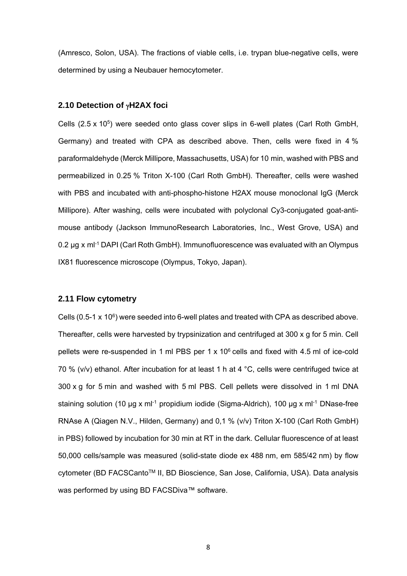temperature (RT; dark and with daylight), 4  $^{\circ}$ C and 37  $^{\circ}$ C for 24 h. Compounds were then analyzed by HPLC as described above. Stability of cyclophosphamide monohydrate (CPA) (Thermo Fisher Scientific) in H<sub>2</sub>O (5 mM) was investigated for samples kept at -20  $^{\circ}$ C (with and without four freeze-thaw cycles), RT, 4 °C and 37 °C for three weeks. HPLC method: injection volume 20 µl; flow rate 1.0 ml x min-1; column temperature 30 °C; mobile phase A  $(H<sub>2</sub>O)$ ; mobile phase B (acetonitrile); HPLC gradient profile: 0-2 min B 5 %, 20 min B 50 %, 22 min B 50 %, 24 min B 5 % and 26 min B 5 %. Peaks were analyzed at a wavelength of 195 nm.

#### **2.7 Cell treatment with cyclophosphamide**

Cells were seeded in multi well plates (Sarstedt SG & Co, Nümbrecht, Germany) and cultured for 24 h. Following medium change, cells were exposed to different concentrations (0-10 mM) of CPA diluted in HepG2-medium as described above. After 24 h incubation, same volumes of CPA-containing HepG2 medium were added. After a total CPA exposure time of 48 h, medium was replaced by fresh HepG2-medium without CPA, and cells were further cultured for 72 h.

#### **2.8 XTT and CellTiter-Glo®2.0 assay**

Cells were seeded at a density of 1.5 x 104 cells/well in a 96-well plate and treated with CPA as described above. Cell viability was analyzed with the XTT assay (Cell Proliferation Kit II (XTT), Roche Diagnostics GmbH, Mannheim, Germany), according to the manufacturer´s protocol. The absorbance was measured after 6 h incubation time with the reaction mixture at a wavelength of 490 nm using a microplate reader (FLUOstar Omega, BMG Labtech, Ortenberg, Germany). CellTiter-Glo®2.0 assay (Promega, Madison; USA) was performed according to the manufacturer´s instructions.

#### **2.9 Trypan blue exclusion assay**

Cells were seeded at a density of  $2 \times 10^5$  cells/well into 12-well plates and treated with CPA as described above. Cells were trypsinized and mixed with the same volume of trypan blue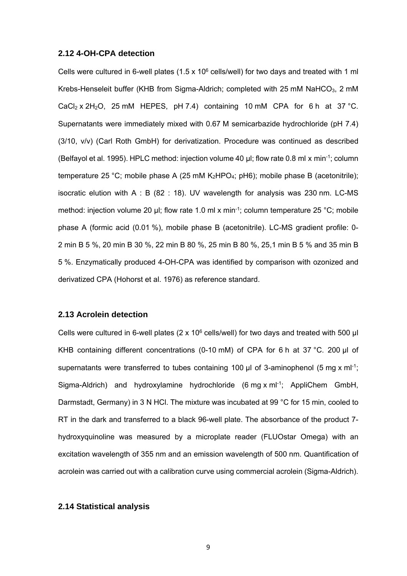(Amresco, Solon, USA). The fractions of viable cells, i.e. trypan blue-negative cells, were determined by using a Neubauer hemocytometer.

#### **2.10 Detection of H2AX foci**

Cells  $(2.5 \times 10^5)$  were seeded onto glass cover slips in 6-well plates (Carl Roth GmbH, Germany) and treated with CPA as described above. Then, cells were fixed in 4 % paraformaldehyde (Merck Millipore, Massachusetts, USA) for 10 min, washed with PBS and permeabilized in 0.25 % Triton X-100 (Carl Roth GmbH). Thereafter, cells were washed with PBS and incubated with anti-phospho-histone H2AX mouse monoclonal IgG (Merck Millipore). After washing, cells were incubated with polyclonal Cy3-conjugated goat-antimouse antibody (Jackson ImmunoResearch Laboratories, Inc., West Grove, USA) and 0.2 µg x ml<sup>-1</sup> DAPI (Carl Roth GmbH). Immunofluorescence was evaluated with an Olympus IX81 fluorescence microscope (Olympus, Tokyo, Japan).

#### **2.11 Flow cytometry**

Cells  $(0.5-1 \times 10^6)$  were seeded into 6-well plates and treated with CPA as described above. Thereafter, cells were harvested by trypsinization and centrifuged at 300 x g for 5 min. Cell pellets were re-suspended in 1 ml PBS per 1 x  $10^6$  cells and fixed with 4.5 ml of ice-cold 70 % (v/v) ethanol. After incubation for at least 1 h at 4 °C, cells were centrifuged twice at 300 x g for 5 min and washed with 5 ml PBS. Cell pellets were dissolved in 1 ml DNA staining solution (10 µg x ml<sup>-1</sup> propidium iodide (Sigma-Aldrich), 100 µg x ml<sup>-1</sup> DNase-free RNAse A (Qiagen N.V., Hilden, Germany) and 0,1 % (v/v) Triton X-100 (Carl Roth GmbH) in PBS) followed by incubation for 30 min at RT in the dark. Cellular fluorescence of at least 50,000 cells/sample was measured (solid-state diode ex 488 nm, em 585/42 nm) by flow cytometer (BD FACSCanto<sup>™</sup> II, BD Bioscience, San Jose, California, USA). Data analysis was performed by using BD FACSDiva™ software.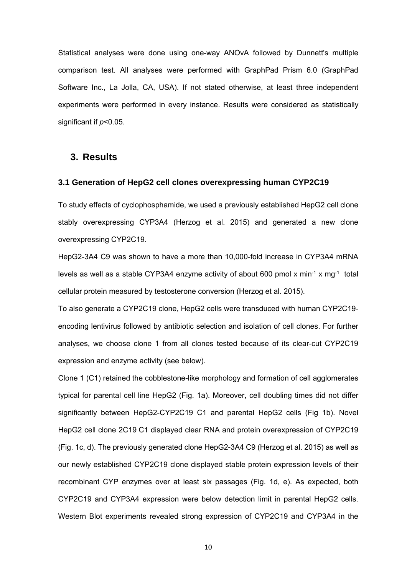#### **2.12 4-OH-CPA detection**

Cells were cultured in 6-well plates (1.5 x 10 $<sup>6</sup>$  cells/well) for two days and treated with 1 ml</sup> Krebs-Henseleit buffer (KHB from Sigma-Aldrich; completed with 25 mM NaHCO<sub>3</sub>, 2 mM CaCl<sub>2</sub> x 2H<sub>2</sub>O, 25 mM HEPES, pH 7.4) containing 10 mM CPA for 6 h at 37 °C. Supernatants were immediately mixed with 0.67 M semicarbazide hydrochloride (pH 7.4) (3/10, v/v) (Carl Roth GmbH) for derivatization. Procedure was continued as described (Belfayol et al. 1995). HPLC method: injection volume 40 µl; flow rate 0.8 ml x min-1; column temperature 25 °C; mobile phase A (25 mM  $K_2HPO_4$ ; pH6); mobile phase B (acetonitrile); isocratic elution with A : B (82 : 18). UV wavelength for analysis was 230 nm. LC-MS method: injection volume 20  $\mu$ l; flow rate 1.0 ml x min<sup>-1</sup>; column temperature 25 °C; mobile phase A (formic acid (0.01 %), mobile phase B (acetonitrile). LC-MS gradient profile: 0- 2 min B 5 %, 20 min B 30 %, 22 min B 80 %, 25 min B 80 %, 25,1 min B 5 % and 35 min B 5 %. Enzymatically produced 4-OH-CPA was identified by comparison with ozonized and derivatized CPA (Hohorst et al. 1976) as reference standard.

#### **2.13 Acrolein detection**

Cells were cultured in 6-well plates (2 x 10<sup>6</sup> cells/well) for two days and treated with 500 µl KHB containing different concentrations (0-10 mM) of CPA for 6 h at 37 °C. 200 µl of supernatants were transferred to tubes containing 100  $\mu$ l of 3-aminophenol (5 mg x ml<sup>-1</sup>; Sigma-Aldrich) and hydroxylamine hydrochloride (6 mg x ml<sup>-1</sup>; AppliChem GmbH, Darmstadt, Germany) in 3 N HCl. The mixture was incubated at 99 °C for 15 min, cooled to RT in the dark and transferred to a black 96-well plate. The absorbance of the product 7 hydroxyquinoline was measured by a microplate reader (FLUOstar Omega) with an excitation wavelength of 355 nm and an emission wavelength of 500 nm. Quantification of acrolein was carried out with a calibration curve using commercial acrolein (Sigma-Aldrich).

#### **2.14 Statistical analysis**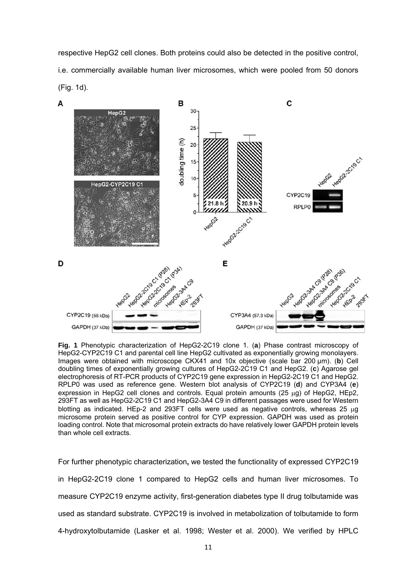Statistical analyses were done using one-way ANOvA followed by Dunnett's multiple comparison test. All analyses were performed with GraphPad Prism 6.0 (GraphPad Software Inc., La Jolla, CA, USA). If not stated otherwise, at least three independent experiments were performed in every instance. Results were considered as statistically significant if *p*<0.05.

## **3. Results**

#### **3.1 Generation of HepG2 cell clones overexpressing human CYP2C19**

To study effects of cyclophosphamide, we used a previously established HepG2 cell clone stably overexpressing CYP3A4 (Herzog et al. 2015) and generated a new clone overexpressing CYP2C19.

HepG2-3A4 C9 was shown to have a more than 10,000-fold increase in CYP3A4 mRNA levels as well as a stable CYP3A4 enzyme activity of about 600 pmol x min<sup>-1</sup> x mg<sup>-1</sup> total cellular protein measured by testosterone conversion (Herzog et al. 2015).

To also generate a CYP2C19 clone, HepG2 cells were transduced with human CYP2C19 encoding lentivirus followed by antibiotic selection and isolation of cell clones. For further analyses, we choose clone 1 from all clones tested because of its clear-cut CYP2C19 expression and enzyme activity (see below).

Clone 1 (C1) retained the cobblestone-like morphology and formation of cell agglomerates typical for parental cell line HepG2 (Fig. 1a). Moreover, cell doubling times did not differ significantly between HepG2-CYP2C19 C1 and parental HepG2 cells (Fig 1b). Novel HepG2 cell clone 2C19 C1 displayed clear RNA and protein overexpression of CYP2C19 (Fig. 1c, d). The previously generated clone HepG2-3A4 C9 (Herzog et al. 2015) as well as our newly established CYP2C19 clone displayed stable protein expression levels of their recombinant CYP enzymes over at least six passages (Fig. 1d, e). As expected, both CYP2C19 and CYP3A4 expression were below detection limit in parental HepG2 cells. Western Blot experiments revealed strong expression of CYP2C19 and CYP3A4 in the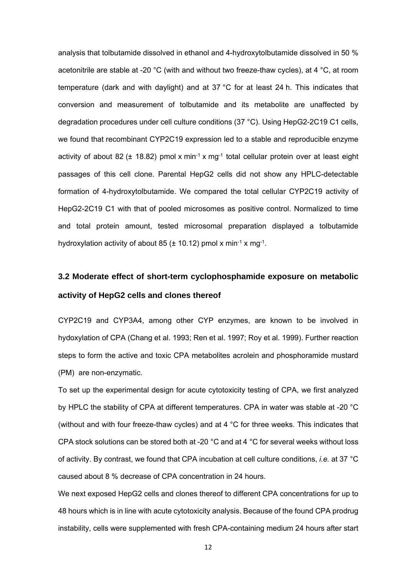respective HepG2 cell clones. Both proteins could also be detected in the positive control, i.e. commercially available human liver microsomes, which were pooled from 50 donors (Fig. 1d).



**Fig. 1** Phenotypic characterization of HepG2-2C19 clone 1. (**a**) Phase contrast microscopy of HepG2-CYP2C19 C1 and parental cell line HepG2 cultivated as exponentially growing monolayers. Images were obtained with microscope CKX41 and 10x objective (scale bar 200 µm). (**b**) Cell doubling times of exponentially growing cultures of HepG2-2C19 C1 and HepG2. (**c**) Agarose gel electrophoresis of RT-PCR products of CYP2C19 gene expression in HepG2-2C19 C1 and HepG2. RPLP0 was used as reference gene. Western blot analysis of CYP2C19 (**d**) and CYP3A4 (**e**) expression in HepG2 cell clones and controls. Equal protein amounts (25  $\mu$ g) of HepG2, HEp2, 293FT as well as HepG2-2C19 C1 and HepG2-3A4 C9 in different passages were used for Western blotting as indicated. HEp-2 and 293FT cells were used as negative controls, whereas 25 ug microsome protein served as positive control for CYP expression. GAPDH was used as protein loading control. Note that microsomal protein extracts do have relatively lower GAPDH protein levels than whole cell extracts.

For further phenotypic characterization**,** we tested the functionality of expressed CYP2C19 in HepG2-2C19 clone 1 compared to HepG2 cells and human liver microsomes. To measure CYP2C19 enzyme activity, first-generation diabetes type II drug tolbutamide was used as standard substrate. CYP2C19 is involved in metabolization of tolbutamide to form 4-hydroxytolbutamide (Lasker et al. 1998; Wester et al. 2000). We verified by HPLC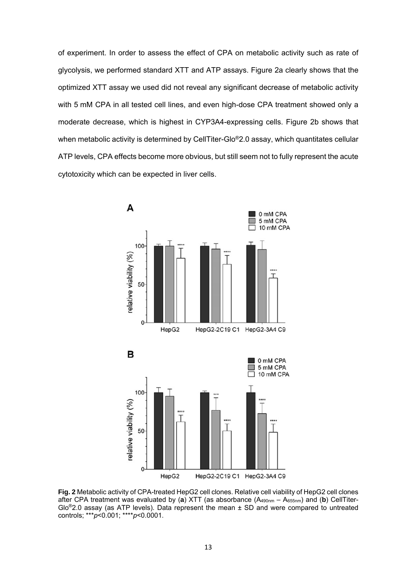analysis that tolbutamide dissolved in ethanol and 4-hydroxytolbutamide dissolved in 50 % acetonitrile are stable at -20 °C (with and without two freeze-thaw cycles), at 4 °C, at room temperature (dark and with daylight) and at 37 °C for at least 24 h. This indicates that conversion and measurement of tolbutamide and its metabolite are unaffected by degradation procedures under cell culture conditions (37 °C). Using HepG2-2C19 C1 cells, we found that recombinant CYP2C19 expression led to a stable and reproducible enzyme activity of about 82 ( $\pm$  18.82) pmol x min<sup>-1</sup> x mg<sup>-1</sup> total cellular protein over at least eight passages of this cell clone. Parental HepG2 cells did not show any HPLC-detectable formation of 4-hydroxytolbutamide. We compared the total cellular CYP2C19 activity of HepG2-2C19 C1 with that of pooled microsomes as positive control. Normalized to time and total protein amount, tested microsomal preparation displayed a tolbutamide hydroxylation activity of about 85 ( $\pm$  10.12) pmol x min<sup>-1</sup> x mg<sup>-1</sup>.

# **3.2 Moderate effect of short-term cyclophosphamide exposure on metabolic activity of HepG2 cells and clones thereof**

CYP2C19 and CYP3A4, among other CYP enzymes, are known to be involved in hydoxylation of CPA (Chang et al. 1993; Ren et al. 1997; Roy et al. 1999). Further reaction steps to form the active and toxic CPA metabolites acrolein and phosphoramide mustard (PM) are non-enzymatic.

To set up the experimental design for acute cytotoxicity testing of CPA, we first analyzed by HPLC the stability of CPA at different temperatures. CPA in water was stable at -20 °C (without and with four freeze-thaw cycles) and at 4 °C for three weeks. This indicates that CPA stock solutions can be stored both at -20  $^{\circ}$ C and at 4  $^{\circ}$ C for several weeks without loss of activity. By contrast, we found that CPA incubation at cell culture conditions, *i.e.* at 37 °C caused about 8 % decrease of CPA concentration in 24 hours.

We next exposed HepG2 cells and clones thereof to different CPA concentrations for up to 48 hours which is in line with acute cytotoxicity analysis. Because of the found CPA prodrug instability, cells were supplemented with fresh CPA-containing medium 24 hours after start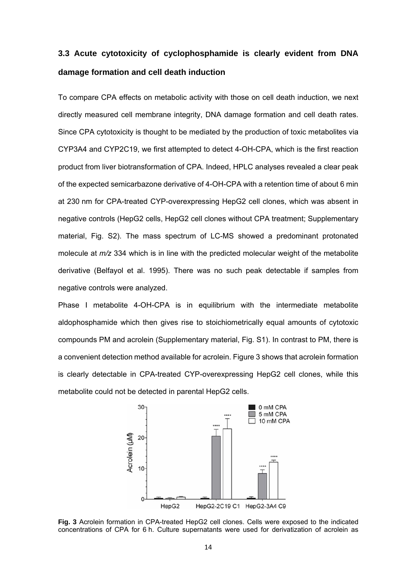of experiment. In order to assess the effect of CPA on metabolic activity such as rate of glycolysis, we performed standard XTT and ATP assays. Figure 2a clearly shows that the optimized XTT assay we used did not reveal any significant decrease of metabolic activity with 5 mM CPA in all tested cell lines, and even high-dose CPA treatment showed only a moderate decrease, which is highest in CYP3A4-expressing cells. Figure 2b shows that when metabolic activity is determined by CellTiter-Glo®2.0 assay, which quantitates cellular ATP levels, CPA effects become more obvious, but still seem not to fully represent the acute cytotoxicity which can be expected in liver cells.



**Fig. 2** Metabolic activity of CPA-treated HepG2 cell clones. Relative cell viability of HepG2 cell clones after CPA treatment was evaluated by (**a**) XTT (as absorbance (A490nm – A655nm) and (**b**) CellTiter-Glo<sup>®</sup>2.0 assay (as ATP levels). Data represent the mean  $\pm$  SD and were compared to untreated controls; \*\*\**p*<0.001; \*\*\*\**p*<0.0001.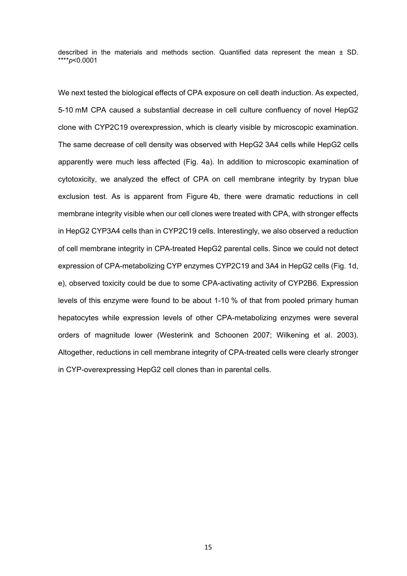# **3.3 Acute cytotoxicity of cyclophosphamide is clearly evident from DNA damage formation and cell death induction**

To compare CPA effects on metabolic activity with those on cell death induction, we next directly measured cell membrane integrity, DNA damage formation and cell death rates. Since CPA cytotoxicity is thought to be mediated by the production of toxic metabolites via CYP3A4 and CYP2C19, we first attempted to detect 4-OH-CPA, which is the first reaction product from liver biotransformation of CPA. Indeed, HPLC analyses revealed a clear peak of the expected semicarbazone derivative of 4-OH-CPA with a retention time of about 6 min at 230 nm for CPA-treated CYP-overexpressing HepG2 cell clones, which was absent in negative controls (HepG2 cells, HepG2 cell clones without CPA treatment; Supplementary material, Fig. S2). The mass spectrum of LC-MS showed a predominant protonated molecule at *m/z* 334 which is in line with the predicted molecular weight of the metabolite derivative (Belfayol et al. 1995). There was no such peak detectable if samples from negative controls were analyzed.

Phase I metabolite 4-OH-CPA is in equilibrium with the intermediate metabolite aldophosphamide which then gives rise to stoichiometrically equal amounts of cytotoxic compounds PM and acrolein (Supplementary material, Fig. S1). In contrast to PM, there is a convenient detection method available for acrolein. Figure 3 shows that acrolein formation is clearly detectable in CPA-treated CYP-overexpressing HepG2 cell clones, while this metabolite could not be detected in parental HepG2 cells.



**Fig. 3** Acrolein formation in CPA-treated HepG2 cell clones. Cells were exposed to the indicated concentrations of CPA for 6 h. Culture supernatants were used for derivatization of acrolein as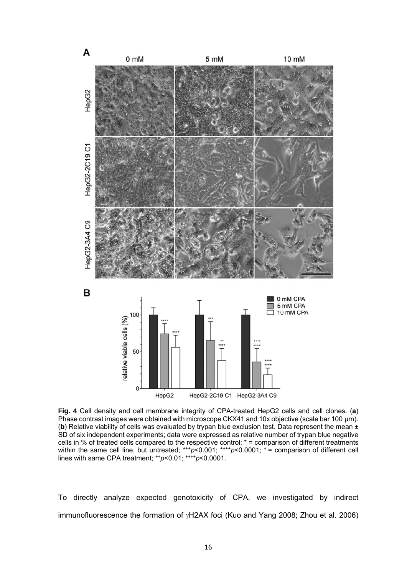described in the materials and methods section. Quantified data represent the mean  $\pm$  SD. \*\*\*\**p*<0.0001

We next tested the biological effects of CPA exposure on cell death induction. As expected, 5-10 mM CPA caused a substantial decrease in cell culture confluency of novel HepG2 clone with CYP2C19 overexpression, which is clearly visible by microscopic examination. The same decrease of cell density was observed with HepG2 3A4 cells while HepG2 cells apparently were much less affected (Fig. 4a). In addition to microscopic examination of cytotoxicity, we analyzed the effect of CPA on cell membrane integrity by trypan blue exclusion test. As is apparent from Figure 4b, there were dramatic reductions in cell membrane integrity visible when our cell clones were treated with CPA, with stronger effects in HepG2 CYP3A4 cells than in CYP2C19 cells. Interestingly, we also observed a reduction of cell membrane integrity in CPA-treated HepG2 parental cells. Since we could not detect expression of CPA-metabolizing CYP enzymes CYP2C19 and 3A4 in HepG2 cells (Fig. 1d, e), observed toxicity could be due to some CPA-activating activity of CYP2B6. Expression levels of this enzyme were found to be about 1-10 % of that from pooled primary human hepatocytes while expression levels of other CPA-metabolizing enzymes were several orders of magnitude lower (Westerink and Schoonen 2007; Wilkening et al. 2003). Altogether, reductions in cell membrane integrity of CPA-treated cells were clearly stronger in CYP-overexpressing HepG2 cell clones than in parental cells.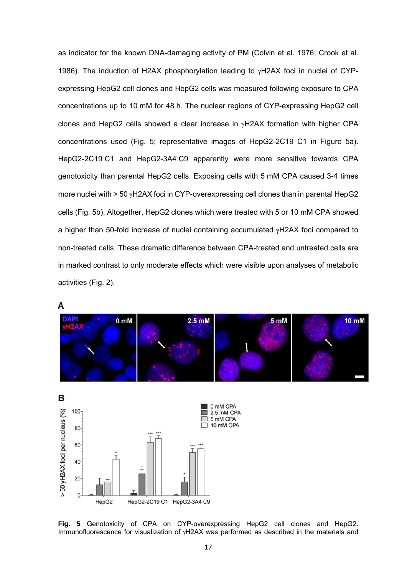

**Fig. 4** Cell density and cell membrane integrity of CPA-treated HepG2 cells and cell clones. (**a**) Phase contrast images were obtained with microscope CKX41 and 10x objective (scale bar 100 µm). (**b**) Relative viability of cells was evaluated by trypan blue exclusion test. Data represent the mean ± SD of six independent experiments; data were expressed as relative number of trypan blue negative cells in % of treated cells compared to the respective control; \* = comparison of different treatments within the same cell line, but untreated; \*\*\*p<0.001; \*\*\*\*p<0.0001;  $^+$  = comparison of different cell lines with same CPA treatment; ++*p*<0.01; ++++*p*<0.0001.

To directly analyze expected genotoxicity of CPA, we investigated by indirect immunofluorescence the formation of  $\gamma$ H2AX foci (Kuo and Yang 2008; Zhou et al. 2006)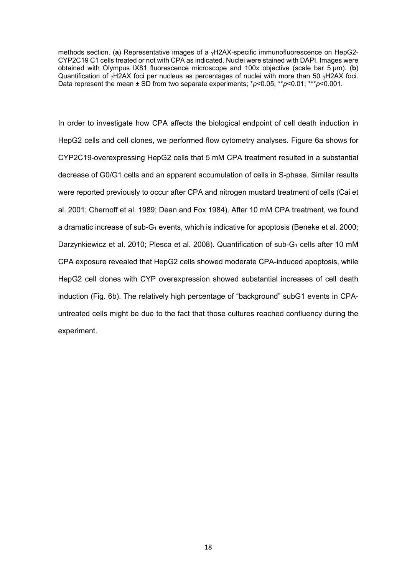as indicator for the known DNA-damaging activity of PM (Colvin et al. 1976; Crook et al. 1986). The induction of H2AX phosphorylation leading to  $\gamma$ H2AX foci in nuclei of CYPexpressing HepG2 cell clones and HepG2 cells was measured following exposure to CPA concentrations up to 10 mM for 48 h. The nuclear regions of CYP-expressing HepG2 cell clones and HepG2 cells showed a clear increase in  $vH2AX$  formation with higher CPA concentrations used (Fig. 5; representative images of HepG2-2C19 C1 in Figure 5a). HepG2-2C19 C1 and HepG2-3A4 C9 apparently were more sensitive towards CPA genotoxicity than parental HepG2 cells. Exposing cells with 5 mM CPA caused 3-4 times more nuclei with  $> 50$   $\gamma$ H2AX foci in CYP-overexpressing cell clones than in parental HepG2 cells (Fig. 5b). Altogether, HepG2 clones which were treated with 5 or 10 mM CPA showed a higher than 50-fold increase of nuclei containing accumulated  $\gamma$ H2AX foci compared to non-treated cells. These dramatic difference between CPA-treated and untreated cells are in marked contrast to only moderate effects which were visible upon analyses of metabolic activities (Fig. 2).



A

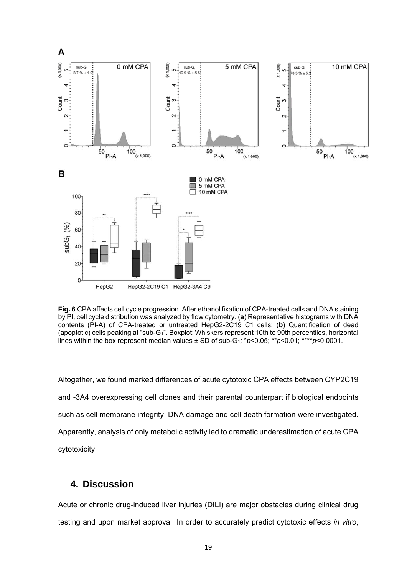methods section. (a) Representative images of a <sub>Y</sub>H2AX-specific immunofluorescence on HepG2-CYP2C19 C1 cells treated or not with CPA as indicated. Nuclei were stained with DAPI. Images were obtained with Olympus IX81 fluorescence microscope and 100x objective (scale bar 5 µm). (**b**) Quantification of  $\gamma$ H2AX foci per nucleus as percentages of nuclei with more than 50  $\gamma$ H2AX foci. Data represent the mean ± SD from two separate experiments; \**p*<0.05; \*\**p*<0.01; \*\*\**p*<0.001.

In order to investigate how CPA affects the biological endpoint of cell death induction in HepG2 cells and cell clones, we performed flow cytometry analyses. Figure 6a shows for CYP2C19-overexpressing HepG2 cells that 5 mM CPA treatment resulted in a substantial decrease of G0/G1 cells and an apparent accumulation of cells in S-phase. Similar results were reported previously to occur after CPA and nitrogen mustard treatment of cells (Cai et al. 2001; Chernoff et al. 1989; Dean and Fox 1984). After 10 mM CPA treatment, we found a dramatic increase of sub- $G_1$  events, which is indicative for apoptosis (Beneke et al. 2000; Darzynkiewicz et al. 2010; Plesca et al. 2008). Quantification of sub- $G_1$  cells after 10 mM CPA exposure revealed that HepG2 cells showed moderate CPA-induced apoptosis, while HepG2 cell clones with CYP overexpression showed substantial increases of cell death induction (Fig. 6b). The relatively high percentage of "background" subG1 events in CPAuntreated cells might be due to the fact that those cultures reached confluency during the experiment.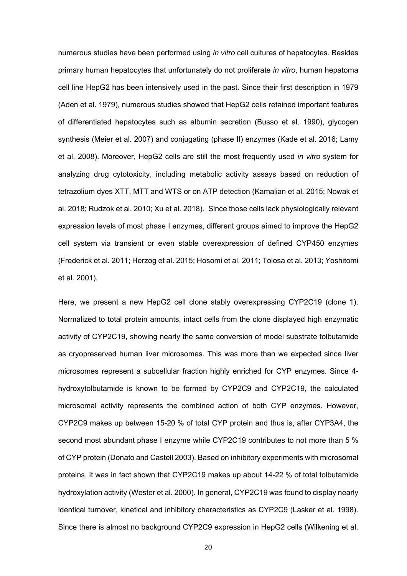

**Fig. 6** CPA affects cell cycle progression. After ethanol fixation of CPA-treated cells and DNA staining by PI, cell cycle distribution was analyzed by flow cytometry. (**a**) Representative histograms with DNA contents (PI-A) of CPA-treated or untreated HepG2-2C19 C1 cells; (**b**) Quantification of dead (apoptotic) cells peaking at "sub-G1". Boxplot: Whiskers represent 10th to 90th percentiles, horizontal lines within the box represent median values ± SD of sub-G1*;* \**p*<0.05; \*\**p*<0.01; \*\*\*\**p*<0.0001.

Altogether, we found marked differences of acute cytotoxic CPA effects between CYP2C19 and -3A4 overexpressing cell clones and their parental counterpart if biological endpoints such as cell membrane integrity, DNA damage and cell death formation were investigated. Apparently, analysis of only metabolic activity led to dramatic underestimation of acute CPA cytotoxicity.

## **4. Discussion**

Acute or chronic drug-induced liver injuries (DILI) are major obstacles during clinical drug testing and upon market approval. In order to accurately predict cytotoxic effects *in vitro*,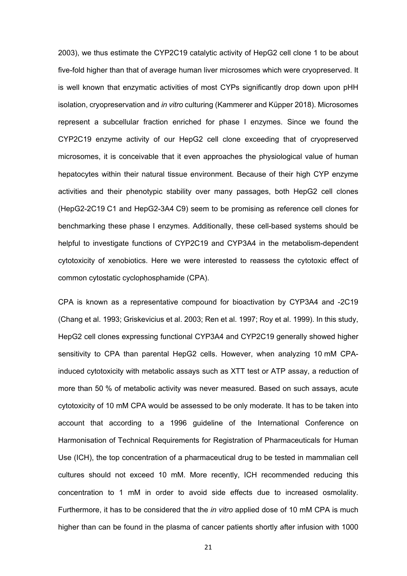numerous studies have been performed using *in vitro* cell cultures of hepatocytes. Besides primary human hepatocytes that unfortunately do not proliferate *in vitro*, human hepatoma cell line HepG2 has been intensively used in the past. Since their first description in 1979 (Aden et al. 1979), numerous studies showed that HepG2 cells retained important features of differentiated hepatocytes such as albumin secretion (Busso et al. 1990), glycogen synthesis (Meier et al. 2007) and conjugating (phase II) enzymes (Kade et al. 2016; Lamy et al. 2008). Moreover, HepG2 cells are still the most frequently used *in vitro* system for analyzing drug cytotoxicity, including metabolic activity assays based on reduction of tetrazolium dyes XTT, MTT and WTS or on ATP detection (Kamalian et al. 2015; Nowak et al. 2018; Rudzok et al. 2010; Xu et al. 2018). Since those cells lack physiologically relevant expression levels of most phase I enzymes, different groups aimed to improve the HepG2 cell system via transient or even stable overexpression of defined CYP450 enzymes (Frederick et al. 2011; Herzog et al. 2015; Hosomi et al. 2011; Tolosa et al. 2013; Yoshitomi et al. 2001).

Here, we present a new HepG2 cell clone stably overexpressing CYP2C19 (clone 1). Normalized to total protein amounts, intact cells from the clone displayed high enzymatic activity of CYP2C19, showing nearly the same conversion of model substrate tolbutamide as cryopreserved human liver microsomes. This was more than we expected since liver microsomes represent a subcellular fraction highly enriched for CYP enzymes. Since 4 hydroxytolbutamide is known to be formed by CYP2C9 and CYP2C19, the calculated microsomal activity represents the combined action of both CYP enzymes. However, CYP2C9 makes up between 15-20 % of total CYP protein and thus is, after CYP3A4, the second most abundant phase I enzyme while CYP2C19 contributes to not more than 5 % of CYP protein (Donato and Castell 2003). Based on inhibitory experiments with microsomal proteins, it was in fact shown that CYP2C19 makes up about 14-22 % of total tolbutamide hydroxylation activity (Wester et al. 2000). In general, CYP2C19 was found to display nearly identical turnover, kinetical and inhibitory characteristics as CYP2C9 (Lasker et al. 1998). Since there is almost no background CYP2C9 expression in HepG2 cells (Wilkening et al.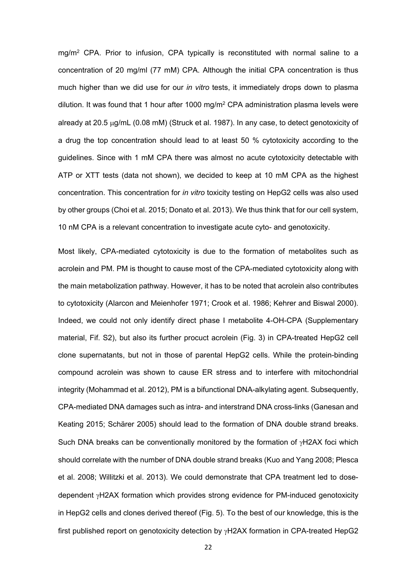2003), we thus estimate the CYP2C19 catalytic activity of HepG2 cell clone 1 to be about five-fold higher than that of average human liver microsomes which were cryopreserved. It is well known that enzymatic activities of most CYPs significantly drop down upon pHH isolation, cryopreservation and *in vitro* culturing (Kammerer and Küpper 2018). Microsomes represent a subcellular fraction enriched for phase I enzymes. Since we found the CYP2C19 enzyme activity of our HepG2 cell clone exceeding that of cryopreserved microsomes, it is conceivable that it even approaches the physiological value of human hepatocytes within their natural tissue environment. Because of their high CYP enzyme activities and their phenotypic stability over many passages, both HepG2 cell clones (HepG2-2C19 C1 and HepG2-3A4 C9) seem to be promising as reference cell clones for benchmarking these phase I enzymes. Additionally, these cell-based systems should be helpful to investigate functions of CYP2C19 and CYP3A4 in the metabolism-dependent cytotoxicity of xenobiotics. Here we were interested to reassess the cytotoxic effect of common cytostatic cyclophosphamide (CPA).

CPA is known as a representative compound for bioactivation by CYP3A4 and -2C19 (Chang et al. 1993; Griskevicius et al. 2003; Ren et al. 1997; Roy et al. 1999). In this study, HepG2 cell clones expressing functional CYP3A4 and CYP2C19 generally showed higher sensitivity to CPA than parental HepG2 cells. However, when analyzing 10 mM CPAinduced cytotoxicity with metabolic assays such as XTT test or ATP assay, a reduction of more than 50 % of metabolic activity was never measured. Based on such assays, acute cytotoxicity of 10 mM CPA would be assessed to be only moderate. It has to be taken into account that according to a 1996 guideline of the International Conference on Harmonisation of Technical Requirements for Registration of Pharmaceuticals for Human Use (ICH), the top concentration of a pharmaceutical drug to be tested in mammalian cell cultures should not exceed 10 mM. More recently, ICH recommended reducing this concentration to 1 mM in order to avoid side effects due to increased osmolality. Furthermore, it has to be considered that the *in vitro* applied dose of 10 mM CPA is much higher than can be found in the plasma of cancer patients shortly after infusion with 1000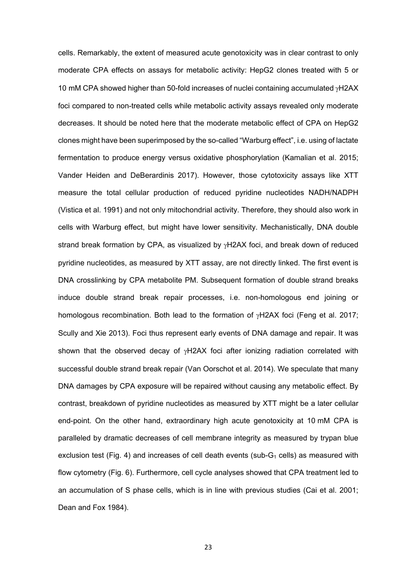mg/m<sup>2</sup> CPA. Prior to infusion, CPA typically is reconstituted with normal saline to a concentration of 20 mg/ml (77 mM) CPA. Although the initial CPA concentration is thus much higher than we did use for our *in vitro* tests, it immediately drops down to plasma dilution. It was found that 1 hour after 1000 mg/m<sup>2</sup> CPA administration plasma levels were already at 20.5  $\mu$ g/mL (0.08 mM) (Struck et al. 1987). In any case, to detect genotoxicity of a drug the top concentration should lead to at least 50 % cytotoxicity according to the guidelines. Since with 1 mM CPA there was almost no acute cytotoxicity detectable with ATP or XTT tests (data not shown), we decided to keep at 10 mM CPA as the highest concentration. This concentration for *in vitro* toxicity testing on HepG2 cells was also used by other groups (Choi et al. 2015; Donato et al. 2013). We thus think that for our cell system, 10 nM CPA is a relevant concentration to investigate acute cyto- and genotoxicity.

Most likely, CPA-mediated cytotoxicity is due to the formation of metabolites such as acrolein and PM. PM is thought to cause most of the CPA-mediated cytotoxicity along with the main metabolization pathway. However, it has to be noted that acrolein also contributes to cytotoxicity (Alarcon and Meienhofer 1971; Crook et al. 1986; Kehrer and Biswal 2000). Indeed, we could not only identify direct phase I metabolite 4-OH-CPA (Supplementary material, Fif. S2), but also its further procuct acrolein (Fig. 3) in CPA-treated HepG2 cell clone supernatants, but not in those of parental HepG2 cells. While the protein-binding compound acrolein was shown to cause ER stress and to interfere with mitochondrial integrity (Mohammad et al. 2012), PM is a bifunctional DNA-alkylating agent. Subsequently, CPA-mediated DNA damages such as intra- and interstrand DNA cross-links (Ganesan and Keating 2015; Schärer 2005) should lead to the formation of DNA double strand breaks. Such DNA breaks can be conventionally monitored by the formation of  $\gamma$ H2AX foci which should correlate with the number of DNA double strand breaks (Kuo and Yang 2008; Plesca et al. 2008; Willitzki et al. 2013). We could demonstrate that CPA treatment led to dosedependent  $y$ H2AX formation which provides strong evidence for PM-induced genotoxicity in HepG2 cells and clones derived thereof (Fig. 5). To the best of our knowledge, this is the first published report on genotoxicity detection by  $\gamma$ H2AX formation in CPA-treated HepG2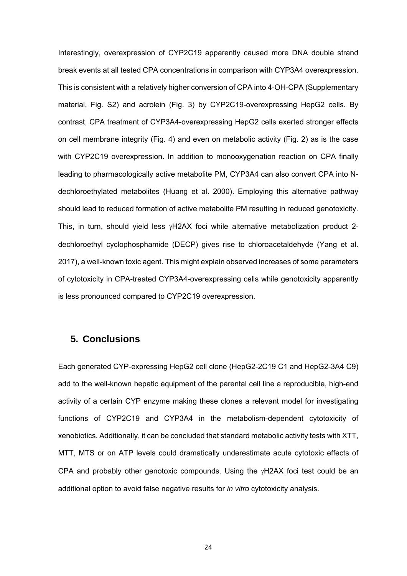cells. Remarkably, the extent of measured acute genotoxicity was in clear contrast to only moderate CPA effects on assays for metabolic activity: HepG2 clones treated with 5 or 10 mM CPA showed higher than 50-fold increases of nuclei containing accumulated  $\gamma$ H2AX foci compared to non-treated cells while metabolic activity assays revealed only moderate decreases. It should be noted here that the moderate metabolic effect of CPA on HepG2 clones might have been superimposed by the so-called "Warburg effect", i.e. using of lactate fermentation to produce energy versus oxidative phosphorylation (Kamalian et al. 2015; Vander Heiden and DeBerardinis 2017). However, those cytotoxicity assays like XTT measure the total cellular production of reduced pyridine nucleotides NADH/NADPH (Vistica et al. 1991) and not only mitochondrial activity. Therefore, they should also work in cells with Warburg effect, but might have lower sensitivity. Mechanistically, DNA double strand break formation by CPA, as visualized by  $\gamma$ H2AX foci, and break down of reduced pyridine nucleotides, as measured by XTT assay, are not directly linked. The first event is DNA crosslinking by CPA metabolite PM. Subsequent formation of double strand breaks induce double strand break repair processes, i.e. non-homologous end joining or homologous recombination. Both lead to the formation of  $\gamma$ H2AX foci (Feng et al. 2017; Scully and Xie 2013). Foci thus represent early events of DNA damage and repair. It was shown that the observed decay of  $\gamma$ H2AX foci after ionizing radiation correlated with successful double strand break repair (Van Oorschot et al. 2014). We speculate that many DNA damages by CPA exposure will be repaired without causing any metabolic effect. By contrast, breakdown of pyridine nucleotides as measured by XTT might be a later cellular end-point. On the other hand, extraordinary high acute genotoxicity at 10 mM CPA is paralleled by dramatic decreases of cell membrane integrity as measured by trypan blue exclusion test (Fig. 4) and increases of cell death events (sub- $G_1$  cells) as measured with flow cytometry (Fig. 6). Furthermore, cell cycle analyses showed that CPA treatment led to an accumulation of S phase cells, which is in line with previous studies (Cai et al. 2001; Dean and Fox 1984).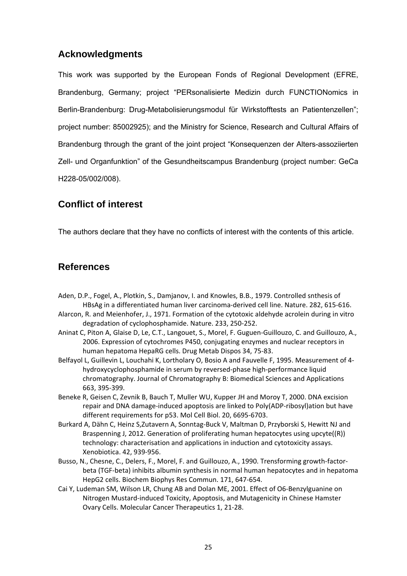Interestingly, overexpression of CYP2C19 apparently caused more DNA double strand break events at all tested CPA concentrations in comparison with CYP3A4 overexpression. This is consistent with a relatively higher conversion of CPA into 4-OH-CPA (Supplementary material, Fig. S2) and acrolein (Fig. 3) by CYP2C19-overexpressing HepG2 cells. By contrast, CPA treatment of CYP3A4-overexpressing HepG2 cells exerted stronger effects on cell membrane integrity (Fig. 4) and even on metabolic activity (Fig. 2) as is the case with CYP2C19 overexpression. In addition to monooxygenation reaction on CPA finally leading to pharmacologically active metabolite PM, CYP3A4 can also convert CPA into Ndechloroethylated metabolites (Huang et al. 2000). Employing this alternative pathway should lead to reduced formation of active metabolite PM resulting in reduced genotoxicity. This, in turn, should yield less  $yH2AX$  foci while alternative metabolization product 2dechloroethyl cyclophosphamide (DECP) gives rise to chloroacetaldehyde (Yang et al. 2017), a well-known toxic agent. This might explain observed increases of some parameters of cytotoxicity in CPA-treated CYP3A4-overexpressing cells while genotoxicity apparently is less pronounced compared to CYP2C19 overexpression.

### **5. Conclusions**

Each generated CYP-expressing HepG2 cell clone (HepG2-2C19 C1 and HepG2-3A4 C9) add to the well-known hepatic equipment of the parental cell line a reproducible, high-end activity of a certain CYP enzyme making these clones a relevant model for investigating functions of CYP2C19 and CYP3A4 in the metabolism-dependent cytotoxicity of xenobiotics. Additionally, it can be concluded that standard metabolic activity tests with XTT, MTT, MTS or on ATP levels could dramatically underestimate acute cytotoxic effects of CPA and probably other genotoxic compounds. Using the  $\gamma$ H2AX foci test could be an additional option to avoid false negative results for *in vitro* cytotoxicity analysis.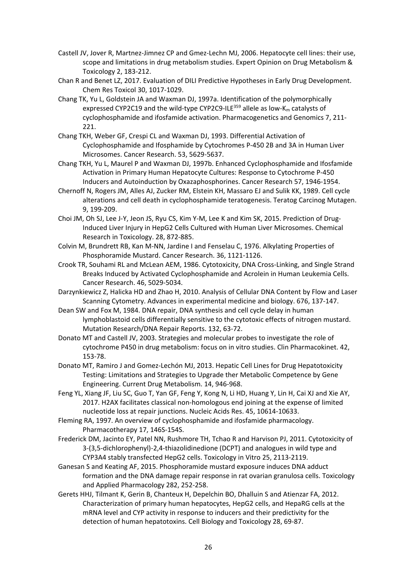## **Acknowledgments**

This work was supported by the European Fonds of Regional Development (EFRE, Brandenburg, Germany; project "PERsonalisierte Medizin durch FUNCTIONomics in Berlin-Brandenburg: Drug-Metabolisierungsmodul für Wirkstofftests an Patientenzellen"; project number: 85002925); and the Ministry for Science, Research and Cultural Affairs of Brandenburg through the grant of the joint project "Konsequenzen der Alters-assoziierten Zell- und Organfunktion" of the Gesundheitscampus Brandenburg (project number: GeCa H228-05/002/008).

## **Conflict of interest**

The authors declare that they have no conflicts of interest with the contents of this article.

## **References**

- Aden, D.P., Fogel, A., Plotkin, S., Damjanov, I. and Knowles, B.B., 1979. Controlled snthesis of HBsAg in a differentiated human liver carcinoma‐derived cell line. Nature. 282, 615‐616.
- Alarcon, R. and Meienhofer, J., 1971. Formation of the cytotoxic aldehyde acrolein during in vitro degradation of cyclophosphamide. Nature. 233, 250‐252.
- Aninat C, Piton A, Glaise D, Le, C.T., Langouet, S., Morel, F. Guguen‐Guillouzo, C. and Guillouzo, A., 2006. Expression of cytochromes P450, conjugating enzymes and nuclear receptors in human hepatoma HepaRG cells. Drug Metab Dispos 34, 75‐83.
- Belfayol L, Guillevin L, Louchahi K, Lortholary O, Bosio A and Fauvelle F, 1995. Measurement of 4‐ hydroxycyclophosphamide in serum by reversed‐phase high‐performance liquid chromatography. Journal of Chromatography B: Biomedical Sciences and Applications 663, 395‐399.
- Beneke R, Geisen C, Zevnik B, Bauch T, Muller WU, Kupper JH and Moroy T, 2000. DNA excision repair and DNA damage‐induced apoptosis are linked to Poly(ADP‐ribosyl)ation but have different requirements for p53. Mol Cell Biol. 20, 6695‐6703.
- Burkard A, Dähn C, Heinz S,Zutavern A, Sonntag‐Buck V, Maltman D, Przyborski S, Hewitt NJ and Braspenning J, 2012. Generation of proliferating human hepatocytes using upcyte((R)) technology: characterisation and applications in induction and cytotoxicity assays. Xenobiotica. 42, 939‐956.
- Busso, N., Chesne, C., Delers, F., Morel, F. and Guillouzo, A., 1990. Trensforming growth‐factor‐ beta (TGF‐beta) inhibits albumin synthesis in normal human hepatocytes and in hepatoma HepG2 cells. Biochem Biophys Res Commun. 171, 647‐654.
- Cai Y, Ludeman SM, Wilson LR, Chung AB and Dolan ME, 2001. Effect of O6‐Benzylguanine on Nitrogen Mustard‐induced Toxicity, Apoptosis, and Mutagenicity in Chinese Hamster Ovary Cells. Molecular Cancer Therapeutics 1, 21‐28.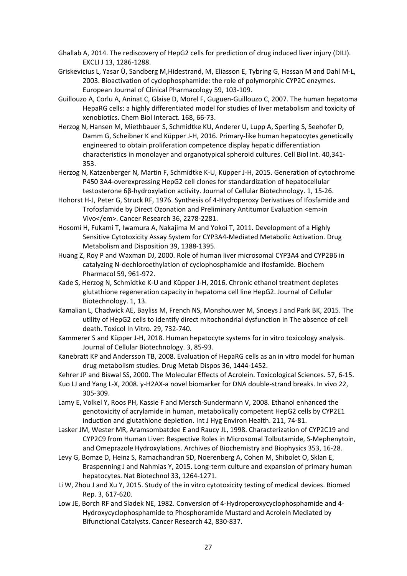- Castell JV, Jover R, Martnez‐Jimnez CP and Gmez‐Lechn MJ, 2006. Hepatocyte cell lines: their use, scope and limitations in drug metabolism studies. Expert Opinion on Drug Metabolism & Toxicology 2, 183‐212.
- Chan R and Benet LZ, 2017. Evaluation of DILI Predictive Hypotheses in Early Drug Development. Chem Res Toxicol 30, 1017‐1029.
- Chang TK, Yu L, Goldstein JA and Waxman DJ, 1997a. Identification of the polymorphically expressed CYP2C19 and the wild-type CYP2C9-ILE<sup>359</sup> allele as low-K<sub>m</sub> catalysts of cyclophosphamide and ifosfamide activation. Pharmacogenetics and Genomics 7, 211‐ 221.
- Chang TKH, Weber GF, Crespi CL and Waxman DJ, 1993. Differential Activation of Cyclophosphamide and Ifosphamide by Cytochromes P‐450 2B and 3A in Human Liver Microsomes. Cancer Research. 53, 5629‐5637.
- Chang TKH, Yu L, Maurel P and Waxman DJ, 1997b. Enhanced Cyclophosphamide and Ifosfamide Activation in Primary Human Hepatocyte Cultures: Response to Cytochrome P‐450 Inducers and Autoinduction by Oxazaphosphorines. Cancer Research 57, 1946‐1954.
- Chernoff N, Rogers JM, Alles AJ, Zucker RM, Elstein KH, Massaro EJ and Sulik KK, 1989. Cell cycle alterations and cell death in cyclophosphamide teratogenesis. Teratog Carcinog Mutagen. 9, 199‐209.
- Choi JM, Oh SJ, Lee J‐Y, Jeon JS, Ryu CS, Kim Y‐M, Lee K and Kim SK, 2015. Prediction of Drug‐ Induced Liver Injury in HepG2 Cells Cultured with Human Liver Microsomes. Chemical Research in Toxicology. 28, 872‐885.
- Colvin M, Brundrett RB, Kan M‐NN, Jardine I and Fenselau C, 1976. Alkylating Properties of Phosphoramide Mustard. Cancer Research. 36, 1121‐1126.
- Crook TR, Souhami RL and McLean AEM, 1986. Cytotoxicity, DNA Cross‐Linking, and Single Strand Breaks Induced by Activated Cyclophosphamide and Acrolein in Human Leukemia Cells. Cancer Research. 46, 5029‐5034.
- Darzynkiewicz Z, Halicka HD and Zhao H, 2010. Analysis of Cellular DNA Content by Flow and Laser Scanning Cytometry. Advances in experimental medicine and biology. 676, 137‐147.
- Dean SW and Fox M, 1984. DNA repair, DNA synthesis and cell cycle delay in human lymphoblastoid cells differentially sensitive to the cytotoxic effects of nitrogen mustard. Mutation Research/DNA Repair Reports. 132, 63‐72.
- Donato MT and Castell JV, 2003. Strategies and molecular probes to investigate the role of cytochrome P450 in drug metabolism: focus on in vitro studies. Clin Pharmacokinet. 42, 153‐78.
- Donato MT, Ramiro J and Gomez‐Lechón MJ, 2013. Hepatic Cell Lines for Drug Hepatotoxicity Testing: Limitations and Strategies to Upgrade ther Metabolic Competence by Gene Engineering. Current Drug Metabolism. 14, 946‐968.
- Feng YL, Xiang JF, Liu SC, Guo T, Yan GF, Feng Y, Kong N, Li HD, Huang Y, Lin H, Cai XJ and Xie AY, 2017. H2AX facilitates classical non‐homologous end joining at the expense of limited nucleotide loss at repair junctions. Nucleic Acids Res. 45, 10614‐10633.
- Fleming RA, 1997. An overview of cyclophosphamide and ifosfamide pharmacology. Pharmacotherapy 17, 146S‐154S.
- Frederick DM, Jacinto EY, Patel NN, Rushmore TH, Tchao R and Harvison PJ, 2011. Cytotoxicity of 3‐(3,5‐dichlorophenyl)‐2,4‐thiazolidinedione (DCPT) and analogues in wild type and CYP3A4 stably transfected HepG2 cells. Toxicology in Vitro 25, 2113‐2119.
- Ganesan S and Keating AF, 2015. Phosphoramide mustard exposure induces DNA adduct formation and the DNA damage repair response in rat ovarian granulosa cells. Toxicology and Applied Pharmacology 282, 252‐258.
- Gerets HHJ, Tilmant K, Gerin B, Chanteux H, Depelchin BO, Dhalluin S and Atienzar FA, 2012. Characterization of primary human hepatocytes, HepG2 cells, and HepaRG cells at the mRNA level and CYP activity in response to inducers and their predictivity for the detection of human hepatotoxins. Cell Biology and Toxicology 28, 69‐87.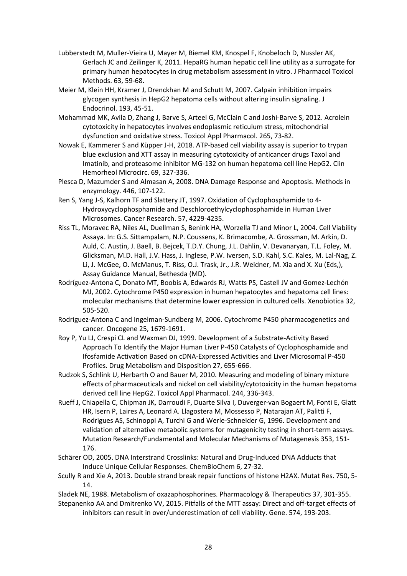- Ghallab A, 2014. The rediscovery of HepG2 cells for prediction of drug induced liver injury (DILI). EXCLI J 13, 1286‐1288.
- Griskevicius L, Yasar Ü, Sandberg M,Hidestrand, M, Eliasson E, Tybring G, Hassan M and Dahl M‐L, 2003. Bioactivation of cyclophosphamide: the role of polymorphic CYP2C enzymes. European Journal of Clinical Pharmacology 59, 103‐109.
- Guillouzo A, Corlu A, Aninat C, Glaise D, Morel F, Guguen‐Guillouzo C, 2007. The human hepatoma HepaRG cells: a highly differentiated model for studies of liver metabolism and toxicity of xenobiotics. Chem Biol Interact. 168, 66‐73.
- Herzog N, Hansen M, Miethbauer S, Schmidtke KU, Anderer U, Lupp A, Sperling S, Seehofer D, Damm G, Scheibner K and Küpper J‐H, 2016. Primary‐like human hepatocytes genetically engineered to obtain proliferation competence display hepatic differentiation characteristics in monolayer and organotypical spheroid cultures. Cell Biol Int. 40,341‐ 353.
- Herzog N, Katzenberger N, Martin F, Schmidtke K‐U, Küpper J‐H, 2015. Generation of cytochrome P450 3A4‐overexpressing HepG2 cell clones for standardization of hepatocellular testosterone 6β‐hydroxylation activity. Journal of Cellular Biotechnology. 1, 15‐26.
- Hohorst H‐J, Peter G, Struck RF, 1976. Synthesis of 4‐Hydroperoxy Derivatives of Ifosfamide and Trofosfamide by Direct Ozonation and Preliminary Antitumor Evaluation <em>in Vivo</em>. Cancer Research 36, 2278‐2281.
- Hosomi H, Fukami T, Iwamura A, Nakajima M and Yokoi T, 2011. Development of a Highly Sensitive Cytotoxicity Assay System for CYP3A4‐Mediated Metabolic Activation. Drug Metabolism and Disposition 39, 1388‐1395.
- Huang Z, Roy P and Waxman DJ, 2000. Role of human liver microsomal CYP3A4 and CYP2B6 in catalyzing N‐dechloroethylation of cyclophosphamide and ifosfamide. Biochem Pharmacol 59, 961‐972.
- Kade S, Herzog N, Schmidtke K‐U and Küpper J‐H, 2016. Chronic ethanol treatment depletes glutathione regeneration capacity in hepatoma cell line HepG2. Journal of Cellular Biotechnology. 1, 13.
- Kamalian L, Chadwick AE, Bayliss M, French NS, Monshouwer M, Snoeys J and Park BK, 2015. The utility of HepG2 cells to identify direct mitochondrial dysfunction in The absence of cell death. Toxicol In Vitro. 29, 732‐740.
- Kammerer S and Küpper J‐H, 2018. Human hepatocyte systems for in vitro toxicology analysis. Journal of Cellular Biotechnology. 3, 85‐93.
- Kanebratt KP and Andersson TB, 2008. Evaluation of HepaRG cells as an in vitro model for human drug metabolism studies. Drug Metab Dispos 36, 1444‐1452.

Kehrer JP and Biswal SS, 2000. The Molecular Effects of Acrolein. Toxicological Sciences. 57, 6‐15.

- Kuo LJ and Yang L‐X, 2008. γ‐H2AX‐a novel biomarker for DNA double‐strand breaks. In vivo 22, 305‐309.
- Lamy E, Volkel Y, Roos PH, Kassie F and Mersch‐Sundermann V, 2008. Ethanol enhanced the genotoxicity of acrylamide in human, metabolically competent HepG2 cells by CYP2E1 induction and glutathione depletion. Int J Hyg Environ Health. 211, 74‐81.
- Lasker JM, Wester MR, Aramsombatdee E and Raucy JL, 1998. Characterization of CYP2C19 and CYP2C9 from Human Liver: Respective Roles in Microsomal Tolbutamide, S‐Mephenytoin, and Omeprazole Hydroxylations. Archives of Biochemistry and Biophysics 353, 16‐28.
- Levy G, Bomze D, Heinz S, Ramachandran SD, Noerenberg A, Cohen M, Shibolet O, Sklan E, Braspenning J and Nahmias Y, 2015. Long-term culture and expansion of primary human hepatocytes. Nat Biotechnol 33, 1264‐1271.
- Li W, Zhou J and Xu Y, 2015. Study of the in vitro cytotoxicity testing of medical devices. Biomed Rep. 3, 617‐620.
- Low JE, Borch RF and Sladek NE, 1982. Conversion of 4‐Hydroperoxycyclophosphamide and 4‐ Hydroxycyclophosphamide to Phosphoramide Mustard and Acrolein Mediated by Bifunctional Catalysts. Cancer Research 42, 830‐837.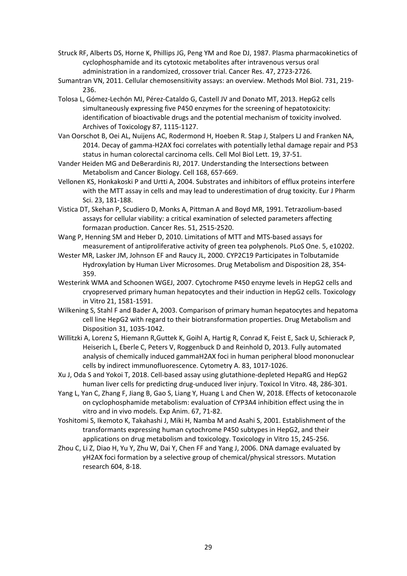- Lubberstedt M, Muller‐Vieira U, Mayer M, Biemel KM, Knospel F, Knobeloch D, Nussler AK, Gerlach JC and Zeilinger K, 2011. HepaRG human hepatic cell line utility as a surrogate for primary human hepatocytes in drug metabolism assessment in vitro. J Pharmacol Toxicol Methods. 63, 59‐68.
- Meier M, Klein HH, Kramer J, Drenckhan M and Schutt M, 2007. Calpain inhibition impairs glycogen synthesis in HepG2 hepatoma cells without altering insulin signaling. J Endocrinol. 193, 45‐51.
- Mohammad MK, Avila D, Zhang J, Barve S, Arteel G, McClain C and Joshi‐Barve S, 2012. Acrolein cytotoxicity in hepatocytes involves endoplasmic reticulum stress, mitochondrial dysfunction and oxidative stress. Toxicol Appl Pharmacol. 265, 73‐82.
- Nowak E, Kammerer S and Küpper J‐H, 2018. ATP‐based cell viability assay is superior to trypan blue exclusion and XTT assay in measuring cytotoxicity of anticancer drugs Taxol and Imatinib, and proteasome inhibitor MG‐132 on human hepatoma cell line HepG2. Clin Hemorheol Microcirc. 69, 327‐336.
- Plesca D, Mazumder S and Almasan A, 2008. DNA Damage Response and Apoptosis. Methods in enzymology. 446, 107‐122.
- Ren S, Yang J‐S, Kalhorn TF and Slattery JT, 1997. Oxidation of Cyclophosphamide to 4‐ Hydroxycyclophosphamide and Deschloroethylcyclophosphamide in Human Liver Microsomes. Cancer Research. 57, 4229‐4235.
- Riss TL, Moravec RA, Niles AL, Duellman S, Benink HA, Worzella TJ and Minor L, 2004. Cell Viability Assaya. In: G.S. Sittampalam, N.P. Coussens, K. Brimacombe, A. Grossman, M. Arkin, D. Auld, C. Austin, J. Baell, B. Bejcek, T.D.Y. Chung, J.L. Dahlin, V. Devanaryan, T.L. Foley, M. Glicksman, M.D. Hall, J.V. Hass, J. Inglese, P.W. Iversen, S.D. Kahl, S.C. Kales, M. Lal‐Nag, Z. Li, J. McGee, O. McManus, T. Riss, O.J. Trask, Jr., J.R. Weidner, M. Xia and X. Xu (Eds,), Assay Guidance Manual, Bethesda (MD).
- Rodríguez‐Antona C, Donato MT, Boobis A, Edwards RJ, Watts PS, Castell JV and Gomez‐Lechón MJ, 2002. Cytochrome P450 expression in human hepatocytes and hepatoma cell lines: molecular mechanisms that determine lower expression in cultured cells. Xenobiotica 32, 505‐520.
- Rodriguez‐Antona C and Ingelman‐Sundberg M, 2006. Cytochrome P450 pharmacogenetics and cancer. Oncogene 25, 1679‐1691.
- Roy P, Yu LJ, Crespi CL and Waxman DJ, 1999. Development of a Substrate‐Activity Based Approach To Identify the Major Human Liver P‐450 Catalysts of Cyclophosphamide and Ifosfamide Activation Based on cDNA‐Expressed Activities and Liver Microsomal P‐450 Profiles. Drug Metabolism and Disposition 27, 655‐666.
- Rudzok S, Schlink U, Herbarth O and Bauer M, 2010. Measuring and modeling of binary mixture effects of pharmaceuticals and nickel on cell viability/cytotoxicity in the human hepatoma derived cell line HepG2. Toxicol Appl Pharmacol. 244, 336‐343.
- Rueff J, Chiapella C, Chipman JK, Darroudi F, Duarte Silva I, Duverger-van Bogaert M, Fonti E, Glatt HR, Isern P, Laires A, Leonard A. Llagostera M, Mossesso P, Natarajan AT, Palitti F, Rodrigues AS, Schinoppi A, Turchi G and Werle‐Schneider G, 1996. Development and validation of alternative metabolic systems for mutagenicity testing in short-term assays. Mutation Research/Fundamental and Molecular Mechanisms of Mutagenesis 353, 151‐ 176.
- Schärer OD, 2005. DNA Interstrand Crosslinks: Natural and Drug-Induced DNA Adducts that Induce Unique Cellular Responses. ChemBioChem 6, 27‐32.
- Scully R and Xie A, 2013. Double strand break repair functions of histone H2AX. Mutat Res. 750, 5‐ 14.
- Sladek NE, 1988. Metabolism of oxazaphosphorines. Pharmacology & Therapeutics 37, 301‐355.
- Stepanenko AA and Dmitrenko VV, 2015. Pitfalls of the MTT assay: Direct and off‐target effects of inhibitors can result in over/underestimation of cell viability. Gene. 574, 193‐203.